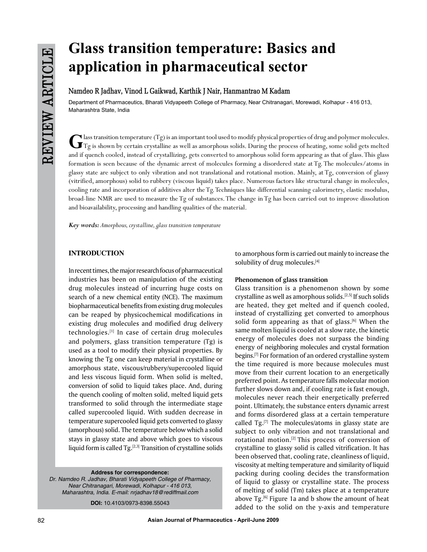# **Glass transition temperature: Basics and application in pharmaceutical sector**

# **Namdeo R Jadhav, Vinod L Gaikwad, Karthik J Nair, Hanmantrao M Kadam**

Department of Pharmaceutics, Bharati Vidyapeeth College of Pharmacy, Near Chitranagari, Morewadi, Kolhapur - 416 013, Maharashtra State, India

C lass transition temperature (Tg) is an important tool used to modify physical properties of drug and polymer molecules.<br>
Tg is shown by certain crystalline as well as amorphous solids. During the process of heating, som and if quench cooled, instead of crystallizing, gets converted to amorphous solid form appearing as that of glass. This glass formation is seen because of the dynamic arrest of molecules forming a disordered state at Tg. The molecules/atoms in glassy state are subject to only vibration and not translational and rotational motion. Mainly, at Tg, conversion of glassy (vitrified, amorphous) solid to rubbery (viscous liquid) takes place. Numerous factors like structural change in molecules, cooling rate and incorporation of additives alter the Tg. Techniques like differential scanning calorimetry, elastic modulus, broad-line NMR are used to measure the Tg of substances. The change in Tg has been carried out to improve dissolution and bioavailability, processing and handling qualities of the material.

*Key words: Amorphous, crystalline, glass transition temperature*

# **INTRODUCTION**

In recent times, the major research focus of pharmaceutical industries has been on manipulation of the existing drug molecules instead of incurring huge costs on search of a new chemical entity (NCE). The maximum biopharmaceutical benefits from existing drug molecules can be reaped by physicochemical modifications in existing drug molecules and modified drug delivery technologies.[1] In case of certain drug molecules and polymers, glass transition temperature (Tg) is used as a tool to modify their physical properties. By knowing the Tg one can keep material in crystalline or amorphous state, viscous/rubbery/supercooled liquid and less viscous liquid form. When solid is melted, conversion of solid to liquid takes place. And, during the quench cooling of molten solid, melted liquid gets transformed to solid through the intermediate stage called supercooled liquid. With sudden decrease in temperature supercooled liquid gets converted to glassy (amorphous) solid. The temperature below which a solid stays in glassy state and above which goes to viscous liquid form is called Tg.[2,3] Transition of crystalline solids

**Address for correspondence:**

*Dr. Namdeo R. Jadhav, Bharati Vidyapeeth College of Pharmacy, Near Chitranagari, Morewadi, Kolhapur - 416 013, Maharashtra, India. E-mail: nrjadhav18@rediffmail.com*

**DOI:** 10.4103/0973-8398.55043

to amorphous form is carried out mainly to increase the solubility of drug molecules.<sup>[4]</sup>

#### **Phenomenon of glass transition**

Glass transition is a phenomenon shown by some crystalline as well as amorphous solids.[2,5] If such solids are heated, they get melted and if quench cooled, instead of crystallizing get converted to amorphous solid form appearing as that of glass. $[6]$  When the same molten liquid is cooled at a slow rate, the kinetic energy of molecules does not surpass the binding energy of neighboring molecules and crystal formation begins.[7] For formation of an ordered crystalline system the time required is more because molecules must move from their current location to an energetically preferred point. As temperature falls molecular motion further slows down and, if cooling rate is fast enough, molecules never reach their energetically preferred point. Ultimately, the substance enters dynamic arrest and forms disordered glass at a certain temperature called  $Tg$ .<sup>[7]</sup> The molecules/atoms in glassy state are subject to only vibration and not translational and rotational motion.<sup>[2]</sup> This process of conversion of crystalline to glassy solid is called vitrification. It has been observed that, cooling rate, cleanliness of liquid, viscosity at melting temperature and similarity of liquid packing during cooling decides the transformation of liquid to glassy or crystalline state. The process of melting of solid (Tm) takes place at a temperature above  $Tg^{[6]}$  Figure 1a and b show the amount of heat added to the solid on the y-axis and temperature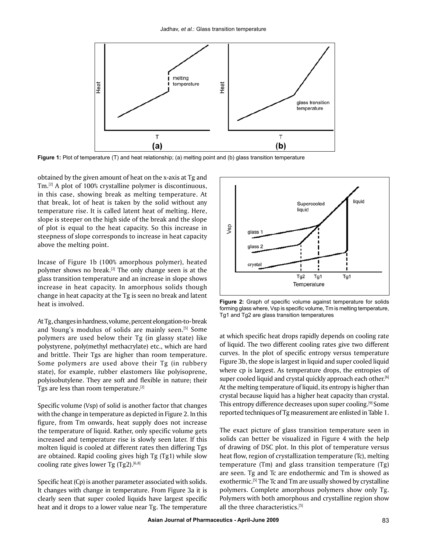

**Figure 1:** Plot of temperature (T) and heat relationship; (a) melting point and (b) glass transition temperature

obtained by the given amount of heat on the x-axis at Tg and Tm.[2] A plot of 100% crystalline polymer is discontinuous, in this case, showing break as melting temperature. At that break, lot of heat is taken by the solid without any temperature rise. It is called latent heat of melting. Here, slope is steeper on the high side of the break and the slope of plot is equal to the heat capacity. So this increase in steepness of slope corresponds to increase in heat capacity above the melting point.

Incase of Figure 1b (100% amorphous polymer), heated polymer shows no break.[2] The only change seen is at the glass transition temperature and an increase in slope shows increase in heat capacity. In amorphous solids though change in heat capacity at the Tg is seen no break and latent heat is involved.

At Tg, changes in hardness, volume, percent elongation-to-break and Young's modulus of solids are mainly seen.<sup>[5]</sup> Some polymers are used below their Tg (in glassy state) like polystyrene, poly(methyl methacrylate) etc., which are hard and brittle. Their Tgs are higher than room temperature. Some polymers are used above their Tg (in rubbery state), for example, rubber elastomers like polyisoprene, polyisobutylene. They are soft and flexible in nature; their Tgs are less than room temperature.[2]

Specific volume (Vsp) of solid is another factor that changes with the change in temperature as depicted in Figure 2. In this figure, from Tm onwards, heat supply does not increase the temperature of liquid. Rather, only specific volume gets increased and temperature rise is slowly seen later. If this molten liquid is cooled at different rates then differing Tgs are obtained. Rapid cooling gives high Tg (Tg1) while slow cooling rate gives lower Tg  $(Tg2)$ .<sup>[6,8]</sup>

Specific heat (Cp) is another parameter associated with solids. It changes with change in temperature. From Figure 3a it is clearly seen that super cooled liquids have largest specific heat and it drops to a lower value near Tg. The temperature



**Figure 2:** Graph of specific volume against temperature for solids forming glass where, Vsp is specific volume, Tm is melting temperature, Tg1 and Tg2 are glass transition temperatures

at which specific heat drops rapidly depends on cooling rate of liquid. The two different cooling rates give two different curves. In the plot of specific entropy versus temperature Figure 3b, the slope is largest in liquid and super cooled liquid where cp is largest. As temperature drops, the entropies of super cooled liquid and crystal quickly approach each other.<sup>[6]</sup> At the melting temperature of liquid, its entropy is higher than crystal because liquid has a higher heat capacity than crystal. This entropy difference decreases upon super cooling.[9] Some reported techniques of Tg measurement are enlisted in Table 1.

The exact picture of glass transition temperature seen in solids can better be visualized in Figure 4 with the help of drawing of DSC plot. In this plot of temperature versus heat flow, region of crystallization temperature (Tc), melting temperature (Tm) and glass transition temperature (Tg) are seen. Tg and Tc are endothermic and Tm is showed as exothermic.<sup>[5]</sup> The Tc and Tm are usually showed by crystalline polymers. Complete amorphous polymers show only Tg. Polymers with both amorphous and crystalline region show all the three characteristics.[5]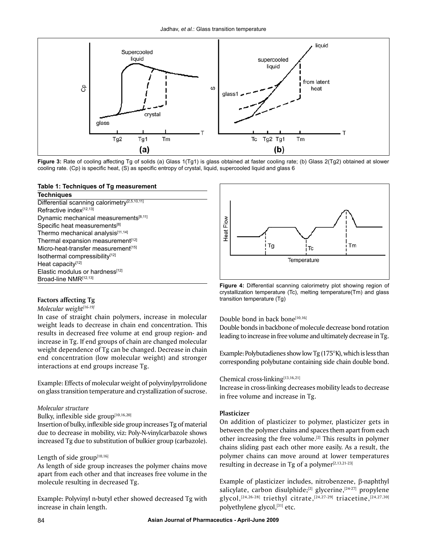

**Figure 3:** Rate of cooling affecting Tg of solids (a) Glass 1(Tg1) is glass obtained at faster cooling rate; (b) Glass 2(Tg2) obtained at slower cooling rate. (Cp) is specific heat, (S) as specific entropy of crystal, liquid, supercooled liquid and glass 6

#### **Table 1: Techniques of Tg measurement**

| <b>Techniques</b>                                        |
|----------------------------------------------------------|
| Differential scanning calorimetry <sup>[2,5,10,11]</sup> |
| Refractive index <sup>[12,13]</sup>                      |
| Dynamic mechanical measurements <sup>[8,11]</sup>        |
| Specific heat measurements <sup>[8]</sup>                |
| Thermo mechanical analysis[11,14]                        |
| Thermal expansion measurement[12]                        |
| Micro-heat-transfer measurement <sup>[15]</sup>          |
| Isothermal compressibility <sup>[12]</sup>               |
| Heat capacity <sup>[12]</sup>                            |
| Elastic modulus or hardness <sup>[12]</sup>              |
| Broad-line NMR[12,13]                                    |

## *Molecular weight[16-19]*

In case of straight chain polymers, increase in molecular weight leads to decrease in chain end concentration. This results in decreased free volume at end group region- and increase in Tg. If end groups of chain are changed molecular weight dependence of Tg can be changed. Decrease in chain end concentration (low molecular weight) and stronger interactions at end groups increase Tg.

Example: Effects of molecular weight of polyvinylpyrrolidone on glass transition temperature and crystallization of sucrose.

#### *Molecular structure*

#### Bulky, inflexible side group<sup>[10,16,20]</sup>

Insertion of bulky, inflexible side group increases Tg of material due to decrease in mobility, viz: Poly-N-vinylcarbazole shows increased Tg due to substitution of bulkier group (carbazole).

### Length of side group[10,16]

As length of side group increases the polymer chains move apart from each other and that increases free volume in the molecule resulting in decreased Tg.

Example: Polyvinyl n-butyl ether showed decreased Tg with increase in chain length.



**Figure 4:** Differential scanning calorimetry plot showing region of crystallization temperature (Tc), melting temperature(Tm) and glass **Factors affecting Tg** transition temperature (Tg)

#### Double bond in back bone<sup>[10,16]</sup>

Double bonds in backbone of molecule decrease bond rotation leading to increase in free volume and ultimately decrease in Tg.

Example: Polybutadienes show low Tg (175°K), which is less than corresponding polybutane containing side chain double bond.

### Chemical cross-linking[13,16,21]

Increase in cross-linking decreases mobility leads to decrease in free volume and increase in Tg.

### **Plasticizer**

On addition of plasticizer to polymer, plasticizer gets in between the polymer chains and spaces them apart from each other increasing the free volume.[2] This results in polymer chains sliding past each other more easily. As a result, the polymer chains can move around at lower temperatures resulting in decrease in Tg of a polymer $[2,13,21-23]$ 

Example of plasticizer includes, nitrobenzene, β-naphthyl salicylate, carbon disulphide;<sup>[2]</sup> glycerine,<sup>[24-27]</sup> propylene glycol,<sup>[24,26-28]</sup> triethyl citrate,<sup>[24,27-29]</sup> triacetine,<sup>[24,27,30]</sup> polyethylene glycol,[31] etc.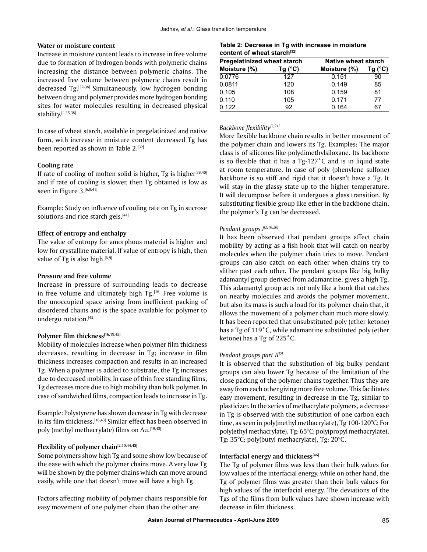#### **Water or moisture content**

Increase in moisture content leads to increase in free volume due to formation of hydrogen bonds with polymeric chains increasing the distance between polymeric chains. The increased free volume between polymeric chains result in decreased Tg.<sup>[32-38]</sup> Simultaneously, low hydrogen bonding between drug and polymer provides more hydrogen bonding sites for water molecules resulting in decreased physical stability.[4,35,38]

In case of wheat starch, available in pregelatinized and native form, with increase in moisture content decreased Tg has been reported as shown in Table 2.[32]

#### **Cooling rate**

If rate of cooling of molten solid is higher, Tg is higher<sup>[39,40]</sup> and if rate of cooling is slower, then Tg obtained is low as seen in Figure 3.[6,8,41]

Example: Study on influence of cooling rate on Tg in sucrose solutions and rice starch gels.<sup>[41]</sup>

#### **Effect of entropy and enthalpy**

The value of entropy for amorphous material is higher and low for crystalline material. If value of entropy is high, then value of Tg is also high. $[6,9]$ 

#### **Pressure and free volume**

Increase in pressure of surrounding leads to decrease in free volume and ultimately high  $Tg$ .<sup>[16]</sup> Free volume is the unoccupied space arising from inefficient packing of disordered chains and is the space available for polymer to undergo rotation.[42]

#### Polymer film thickness<sup>[16,19,43]</sup>

Mobility of molecules increase when polymer film thickness decreases, resulting in decrease in Tg; increase in film thickness increases compaction and results in an increased Tg. When a polymer is added to substrate, the Tg increases due to decreased mobility. In case of thin free standing films, Tg decreases more due to high mobility than bulk polymer. In case of sandwiched films, compaction leads to increase in Tg.

Example: Polystyrene has shown decrease in Tg with decrease in its film thickness.<sup>[16,43]</sup> Similar effect has been observed in poly (methyl methacrylate) films on Au.<sup>[19,43]</sup>

#### **Flexibility of polymer chain[2,10,44,45]**

Some polymers show high Tg and some show low because of the ease with which the polymer chains move. A very low Tg will be shown by the polymer chains which can move around easily, while one that doesn't move will have a high Tg.

Factors affecting mobility of polymer chains responsible for easy movement of one polymer chain than the other are:

#### **Table 2: Decrease in Tg with increase in moisture**  content of wheat starch<sup>[32]</sup>

| Pregelatinized wheat starch |         | Native wheat starch |                  |
|-----------------------------|---------|---------------------|------------------|
| Moisture (%)                | Tq (°C) | Moisture (%)        | Tg $(^{\circ}C)$ |
| 0.0776                      | 127     | 0.151               | 90               |
| 0.0811                      | 120     | 0.149               | 85               |
| 0.105                       | 108     | 0.159               | 81               |
| 0.110                       | 105     | 0.171               | 77               |
| 0.122                       | 92      | 0.164               | 67               |

#### *Backbone flexibility[2,21]*

More flexible backbone chain results in better movement of the polymer chain and lowers its Tg. Examples: The major class is of silicones like polydimethylsiloxane. Its backbone is so flexible that it has a Tg-127˚C and is in liquid state at room temperature. In case of poly (phenylene sulfone) backbone is so stiff and rigid that it doesn't have a Tg. It will stay in the glassy state up to the higher temperature. It will decompose before it undergoes a glass transition. By substituting flexible group like ether in the backbone chain, the polymer's Tg can be decreased.

#### *Pendant groups I[2,10,20]*

It has been observed that pendant groups affect chain mobility by acting as a fish hook that will catch on nearby molecules when the polymer chain tries to move. Pendant groups can also catch on each other when chains try to slither past each other. The pendant groups like big bulky adamantyl group derived from adamantine, gives a high Tg. This adamantyl group acts not only like a hook that catches on nearby molecules and avoids the polymer movement, but also its mass is such a load for its polymer chain that, it allows the movement of a polymer chain much more slowly. It has been reported that unsubstituted poly (ether ketone) has a Tg of 119˚C, while adamantine substituted poly (ether ketone) has a Tg of 225˚C.

#### *Pendant groups part II[2]*

It is observed that the substitution of big bulky pendant groups can also lower Tg because of the limitation of the close packing of the polymer chains together. Thus they are away from each other giving more free volume. This facilitates easy movement, resulting in decrease in the Tg, similar to plasticizer. In the series of methacrylate polymers, a decrease in Tg is observed with the substitution of one carbon each time, as seen in poly(methyl methacrylate), Tg 100-120°C; For poly(ethyl methacrylate), Tg: 65°C; poly(propyl methacrylate), Tg: 35°C; poly(butyl methacrylate), Tg: 20°C.

#### **Interfacial energy and thickness<sup>[46]</sup>**

The Tg of polymer films was less than their bulk values for low values of the interfacial energy, while on other hand, the Tg of polymer films was greater than their bulk values for high values of the interfacial energy. The deviations of the Tgs of the films from bulk values have shown increase with decrease in film thickness.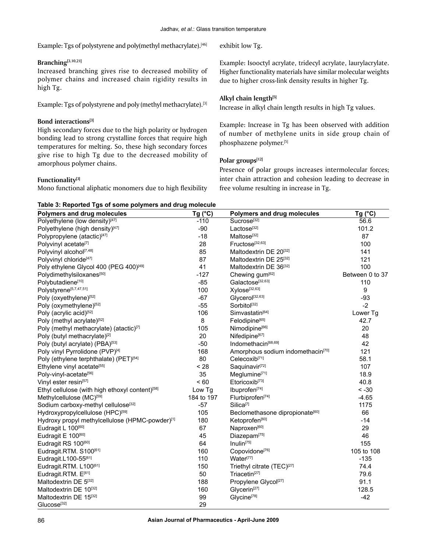Example: Tgs of polystyrene and poly(methyl methacrylate).<sup>[46]</sup>

#### **Branching[3,10,21]**

Increased branching gives rise to decreased mobility of polymer chains and increased chain rigidity results in high Tg.

Example: Tgs of polystyrene and poly (methyl methacrylate).<sup>[3]</sup>

#### **Bond interactions[3]**

High secondary forces due to the high polarity or hydrogen bonding lead to strong crystalline forces that require high temperatures for melting. So, these high secondary forces give rise to high Tg due to the decreased mobility of amorphous polymer chains.

#### **Functionality[3]**

Mono functional aliphatic monomers due to high flexibility

exhibit low Tg.

Example: Isooctyl acrylate, tridecyl acrylate, laurylacrylate. Higher functionality materials have similar molecular weights due to higher cross-link density results in higher Tg.

#### **Alkyl chain length[5]**

Increase in alkyl chain length results in high Tg values.

Example: Increase in Tg has been observed with addition of number of methylene units in side group chain of phosphazene polymer.[5]

#### **Polar groups[12]**

Presence of polar groups increases intermolecular forces; inter chain attraction and cohesion leading to decrease in free volume resulting in increase in Tg.

# **Table 3: Reported Tgs of some polymers and drug molecule**

| Polymers and drug molecules                                 | Tg (°C)    | Polymers and drug molecules                   | Tg $(^{\circ}C)$ |
|-------------------------------------------------------------|------------|-----------------------------------------------|------------------|
| Polyethylene (low density)[47]                              | $-110$     | Sucrose <sup>[32]</sup>                       | 56.6             |
| Polyethylene (high density)[47]                             | $-90$      | Lactose <sup>[32]</sup>                       | 101.2            |
| Polypropylene (atactic)[47]                                 | $-18$      | Maltose <sup>[32]</sup>                       | 87               |
| Polyvinyl acetate <sup>[7]</sup>                            | 28         | Fructose <sup>[32,63]</sup>                   | 100              |
| Polyvinyl alcohol <sup>[7,48]</sup>                         | 85         | Maltodextrin DE 20[32]                        | 141              |
| Polyvinyl chloride <sup>[47]</sup>                          | 87         | Maltodextrin DE 25[32]                        | 121              |
| Poly ethylene Glycol 400 (PEG 400)[49]                      | 41         | Maltodextrin DE 36[32]                        | 100              |
| Polydimethylsiloxanes[50]                                   | $-127$     | Chewing gum <sup>[62]</sup>                   | Between 0 to 37  |
| Polybutadiene[10]                                           | $-85$      | Galactose[32,63]                              | 110              |
| Polystyrene <sup>[5,7,47,51]</sup>                          | 100        | Xylose[32,63]                                 | 9                |
| Poly (oxyethylene)[52]                                      | $-67$      | Glycerol <sup>[32,63]</sup>                   | $-93$            |
| Poly (oxymethylene)[52]                                     | $-55$      | Sorbitol <sup>[32]</sup>                      | $-2$             |
| Poly (acrylic acid)[52]                                     | 106        | Simvastatin <sup>[64]</sup>                   | Lower Tg         |
| Poly (methyl acrylate)[52]                                  | 8          | Felodipine <sup>[65]</sup>                    | 42.7             |
| Poly (methyl methacrylate) (atactic)[7]                     | 105        | Nimodipine <sup>[66]</sup>                    | 20               |
| Poly (butyl methacrylate)[2]                                | 20         | Nifedipine <sup>[67]</sup>                    | 48               |
| Poly (butyl acrylate) (PBA)[53]                             | $-50$      | Indomethacin <sup>[68,69]</sup>               | 42               |
| Poly vinyl Pyrrolidone (PVP)[4]                             | 168        | Amorphous sodium indomethacin <sup>[70]</sup> | 121              |
| Poly (ethylene terphthalate) (PET)[54]                      | 80         | Celecoxib <sup>[71]</sup>                     | 58.1             |
| Ethylene vinyl acetate[55]                                  | < 28       | Saquinavir <sup>[72]</sup>                    | 107              |
| Poly-vinyl-acetate <sup>[56]</sup>                          | 35         | Meglumine <sup>[71]</sup>                     | 18.9             |
| Vinyl ester resin <sup>[57]</sup>                           | ~< 60      | Etoricoxib <sup>[73]</sup>                    | 40.8             |
| Ethyl cellulose (with high ethoxyl content) <sup>[58]</sup> | Low Tg     | Ibuprofen <sup>[74]</sup>                     | $< -30$          |
| Methylcellulose (MC) <sup>[59]</sup>                        | 184 to 197 | Flurbiprofen <sup>[74]</sup>                  | $-4.65$          |
| Sodium carboxy-methyl cellulose <sup>[32]</sup>             | $-57$      | Silica <sup>[7]</sup>                         | 1175             |
| Hydroxypropylcellulose (HPC) <sup>[59]</sup>                | 105        | Beclomethasone dipropionate <sup>[60]</sup>   | 66               |
| Hydroxy propyl methylcellulose (HPMC-powder)[1]             | 180        | Ketoprofen <sup>[60]</sup>                    | $-14$            |
| Eudragit L 100[60]                                          | 67         | Naproxen <sup>[60]</sup>                      | 29               |
| Eudragit E 100[60]                                          | 45         | Diazepam <sup>[75]</sup>                      | 46               |
| Eudragit RS 100[60]                                         | 64         | Inulin <sup>[75]</sup>                        | 155              |
| Eudragit.RTM. S100[61]                                      | 160        | Copovidone <sup>[76]</sup>                    | 105 to 108       |
| Eudragit.L100-55[61]                                        | 110        | Water <sup>[77]</sup>                         | $-135$           |
| Eudragit.RTM. L100[61]                                      | 150        | Triethyl citrate (TEC) <sup>[27]</sup>        | 74.4             |
| Eudragit.RTM. E <sup>[61]</sup>                             | 50         | Triacetin <sup>[27]</sup>                     | 79.6             |
| Maltodextrin DE 5[32]                                       | 188        | Propylene Glycol <sup>[27]</sup>              | 91.1             |
| Maltodextrin DE 10[32]                                      | 160        | Glycerin <sup>[27]</sup>                      | 128.5            |
| Maltodextrin DE 15[32]                                      | 99         | Glycine <sup>[78]</sup>                       | $-42$            |
| Glucose <sup>[32]</sup>                                     | 29         |                                               |                  |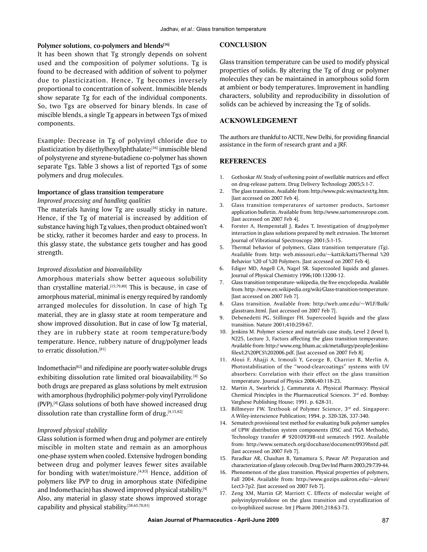#### Polymer solutions, co-polymers and blends<sup>[16]</sup>

It has been shown that Tg strongly depends on solvent used and the composition of polymer solutions. Tg is found to be decreased with addition of solvent to polymer due to plasticization. Hence, Tg becomes inversely proportional to concentration of solvent. Immiscible blends show separate Tg for each of the individual components. So, two Tgs are observed for binary blends. In case of miscible blends, a single Tg appears in between Tgs of mixed components.

Example: Decrease in Tg of polyvinyl chloride due to plasticization by di(ethylhexyl)phthalate;[16] immiscible blend of polystyrene and styrene-butadiene co-polymer has shown separate Tgs. Table 3 shows a list of reported Tgs of some polymers and drug molecules.

#### **Importance of glass transition temperature**

*Improved processing and handling qualities*

The materials having low Tg are usually sticky in nature. Hence, if the Tg of material is increased by addition of substance having high Tg values, then product obtained won't be sticky, rather it becomes harder and easy to process. In this glassy state, the substance gets tougher and has good strength.

#### *Improved dissolution and bioavailability*

Amorphous materials show better aqueous solubility than crystalline material.<sup>[15,79,80]</sup> This is because, in case of amorphous material, minimal is energy required by randomly arranged molecules for dissolution. In case of high Tg material, they are in glassy state at room temperature and show improved dissolution. But in case of low Tg material, they are in rubbery state at room temperature/body temperature. Hence, rubbery nature of drug/polymer leads to erratic dissolution.[81]

Indomethacin[82] and nifedipine are poorly water-soluble drugs exhibiting dissolution rate limited oral bioavailability.<sup>[4]</sup> So both drugs are prepared as glass solutions by melt extrusion with amorphous (hydrophilic) polymer-poly vinyl Pyrrolidone (PVP).[4] Glass solutions of both have showed increased drug dissolution rate than crystalline form of drug. $[4,15,82]$ 

#### *Improved physical stability*

Glass solution is formed when drug and polymer are entirely miscible in molten state and remain as an amorphous one-phase system when cooled. Extensive hydrogen bonding between drug and polymer leaves fewer sites available for bonding with water/moisture.<sup>[4,83]</sup> Hence, addition of polymers like PVP to drug in amorphous state (Nifedipine and Indomethacin) has showed improved physical stability.<sup>[4]</sup> Also, any material in glassy state shows improved storage capability and physical stability.[38,65,70,81]

#### **CONCLUSION**

Glass transition temperature can be used to modify physical properties of solids. By altering the Tg of drug or polymer molecules they can be maintained in amorphous solid form at ambient or body temperatures. Improvement in handling characters, solubility and reproducibility in dissolution of solids can be achieved by increasing the Tg of solids.

#### **ACKNOWLEDGEMENT**

The authors are thankful to AICTE, New Delhi, for providing financial assistance in the form of research grant and a JRF.

#### **REFERENCES**

- 1. Gothoskar AV. Study of softening point of swellable matrices and effect on drug-release pattern. Drug Delivery Technology 2005;5:1-7.
- 2. The glass transition. Available from: http://www.pslc.ws/mactest/tg.htm. [last accessed on 2007 Feb 4].
- 3. Glass transition temperatures of sartomer products, Sartomer application bulletin. Available from: http://www.sartomereurope.com. [last accessed on 2007 Feb 4].
- 4. Forster A, Hempenstall J, Rades T. Investigation of drug/polymer interaction in glass solutions prepared by melt extrusion. The Internet Journal of Vibrational Spectroscopy 2001;5:1-15.
- 5. Thermal behavior of polymers, Glass transition temperature (Tg). Available from: http: web.missouri.edu/~kattik/katti/Thermal %20 Behavior %20 of %20 Polymers. [last accessed on 2007 Feb 4].
- 6. Ediger MD, Angell CA, Nagel SR. Supercooled liquids and glasses. Journal of Physical Chemistry 1996;100:13200-12.
- 7. Glass transition temperature- wikipedia, the free encyclopedia. Available from: http: //www.en.wikipedia.org/wiki/Glass-transition-temperature. [last accessed on 2007 Feb 7].
- 8. Glass transition. Available from: http://web.umr.edu/~WLF/Bulk/ glasstrans.html. [last accessed on 2007 Feb 7].
- 9. Debenedetti PG, Stillinger FH. Supercooled liquids and the glass transition. Nature 2001;410:259-67.
- 10. Jenkins M. Polymer science and materials case study, Level 2 (level I), N225, Lecture 3, Factors affecting the glass transition temperature. Available from: http:// www.eng.bham.ac.uk/metallurgy/people/Jenkinsfiles/L2%20PCS%202006.pdf. [last accessed on 2007 Feb 8].
- 11. Aloui F, Ahajji A, Irmouli Y, George B, Charrier B, Merlin A. Photostabilisation of the "wood-clearcoatings" systems with UV absorbers: Correlation with their effect on the glass transition temperature. Journal of Physics 2006;40:118-23.
- 12. Martin A, Swarbrick J, Cammarata A. Physical Pharmacy: Physical Chemical Principles in the Pharmaceutical Sciences. 3rd ed. Bombay: Varghese Publishing House; 1991. p. 628-31.
- 13. Billmeyer FW. Textbook of Polymer Science, 3<sup>rd</sup> ed. Singapore: A Wiley-interscience Publication; 1994. p. 320-326, 337-340.
- 14. Sematech provisional test method for evaluating bulk polymer samples of UPW distribution system components (DSC and TGA Methods), Technology transfer # 92010939B-std sematech 1992. Available from: http://www.sematech.org/docubase/document/0939bstd.pdf. [last accessed on 2007 Feb 7].
- 15. Paradkar AR, Chauhan B, Yamamura S, Pawar AP. Preparation and characterization of glassy celecoxib. Drug Dev Ind Pharm 2003;29:739-44.
- 16. Phenomenon of the glass transition. Physical properties of polymers, Fall 2004. Available from: http://www.gozips.uakron.edu/~alexei/ Lect3-7p2. [last accessed on 2007 Feb 7].
- 17. Zeng XM, Martin GP, Marriott C. Effects of molecular weight of polyvinylpyrrolidone on the glass transition and crystallization of co-lyophilized sucrose. Int J Pharm 2001;218:63-73.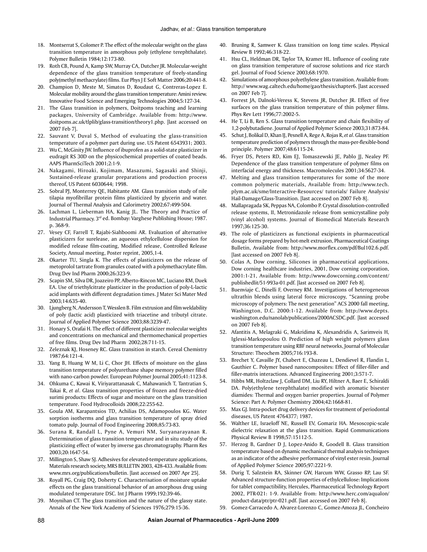- 18. Montserrat S, Colomer P. The effect of the molecular weight on the glass transition temperature in amorphous poly (ethylene terephthalate). Polymer Bulletin 1984;12:173-80.
- 19. Roth CB, Pound A, Kamp SW, Murray CA, Dutcher JR. Molecular-weight dependence of the glass transition temperature of freely-standing poly(methyl methacrylate) films. Eur Phys J E Soft Matter 2006;20:441-8.
- 20. Champion D, Meste M, Simatos D, Roudaut G, Contreras-Lopez E. Molecular mobility around the glass transition temperature: Amini review. Innovative Food Science and Emerging Technologies 2004;5:127-34.
- 21. The Glass transition in polymers, Doitpoms teaching and learning packages, University of Cambridge. Available from: http://www. doitpoms.ac.uk/tlplib/glass-transition/theory1.php. [last accessed on 2007 Feb 7].
- 22. Sauvant V, Duval S, Method of evaluating the glass-transition temperature of a polymer part during use. US Patent 6543931; 2003.
- 23. Wu C, McGinity JW. Influence of ibuprofen as a solid-state plasticizer in eudragit RS 30D on the physicochemical properties of coated beads. AAPS PharmSciTech 2001;2:1-9.
- 24. Nakagami, Hiroaki, Kojimam, Masazumi, Sagasaki and Shinji, Sustained-release granular preparations and production process thereof, US Patent 6030644; 1998.
- 25. Sobral PJ, Monterrey QE, Habitante AM. Glass transition study of nile tilapia myofibrillar protein films plasticized by glycerin and water. Journal of Thermal Analysis and Calorimetry 2002;67:499-504.
- 26. Lachman L, Lieberman HA, Kanig JL. The Theory and Practice of Industrial Pharmacy. 3rd ed. Bombay: Varghese Publishing House; 1987. p. 368-9.
- 27. Vesey CF, Farrell T, Rajabi-Siahboomi AR. Evaluation of alternative plasticizers for surelease, an aqueous ethylcellulose dispersion for modified release film-coating, Modified release, Controlled Release Society, Annual meeting, Poster reprint, 2005,1-4.
- 28. Okarter TU, Singla K. The effects of plasticizers on the release of metoprolol tartrate from granules coated with a polymethacrylate film. Drug Dev Ind Pharm 2000;26:323-9.
- 29. Scapin SM, Silva DR, Joazeiro PP, Alberto-Rincon MC, Luciano RM, Duek EA. Use of triethylcitrate plasticizer in the production of poly-L-lactic acid implants with different degradation times. J Mater Sci Mater Med 2003;14:635-40.
- 30. Ljungberg N, Andersson T, Wesslen B. Film extrusion and film weldability of poly (lactic acid) plasticized with triacetine and tributyl citrate. Journal of Applied Polymer Science 2003;88:3239-47.
- 31. Honary S, Orafai H. The effect of different plasticizer molecular weights and concentrations on mechanical and thermomechanical properties of free films. Drug Dev Ind Pharm 2002;28:711-15.
- 32. Zeleznak KJ, Hoseney RC. Glass transition in starch. Cereal Chemistry 1987;64:121-4.
- 33. Yang B, Huang W M, Li C, Chor JH. Effects of moisture on the glass transition temperature of polyurethane shape memory polymer filled with nano-carbon powder. European Polymer Journal 2005;41:1123-8.
- 34. Ohkuma C, Kawai K, Viriyarattanasak C, Mahawanich T, Tantratian S, Takai R, *et al*. Glass transition properties of frozen and freeze-dried surimi products: Effects of sugar and moisture on the glass transition temperature. Food Hydrocolloids 2008;22:255-62.
- 35. Goula AM, Karapantsios TD, Achilias DS, Adamopoulos KG. Water sorption isotherms and glass transition temperature of spray dried tomato pulp. Journal of Food Engineering 2008;85:73-83.
- 36. Surana R, Randall L, Pyne A, Vemuri NM, Suryanarayanan R. Determination of glass transition temperature and in situ study of the plasticizing effect of water by inverse gas chromatography. Pharm Res 2003;20:1647-54.
- 37. Millington S, Shaw SJ. Adhesives for elevated-temperature applications, Materials research society, MRS BULLETIN 2003, 428-433. Available from: www.mrs.org/publications/bulletin. [last accessed on 2007 Apr 25].
- 38. Royall PG, Craig DQ, Doherty C. Characterisation of moisture uptake effects on the glass transitional behavior of an amorphous drug using modulated temperature DSC. Int J Pharm 1999;192:39-46.
- 39. Moynihan CT. The glass transition and the nature of the glassy state. Annals of the New York Academy of Sciences 1976;279:15-36.
- 40. Bruning R, Samwer K. Glass transition on long time scales. Physical Review B 1992;46:318-22.
- 41. Hsu CL, Heldman DR, Taylor TA, Kramer HL. Influence of cooling rate on glass transition temperature of sucrose solutions and rice starch gel. Journal of Food Science 2003;68:1970.
- 42. Simulations of amorphous polyethylene glass transition. Available from: http:// www.wag.caltech.edu/home/gao/thesis/chapter6. [last accessed on 2007 Feb 7].
- 43. Forrest JA, Dalnoki-Veress K, Stevens JR, Dutcher JR. Effect of free surfaces on the glass transition temperature of thin polymer films. Phys Rev Lett 1996;77:2002-5.
- 44. He T, Li B, Ren S. Glass transition temperature and chain flexibility of 1,2-polybutadiene. Journal of Applied Polymer Science 2003;31:873-84.
- 45. Schut J, Bolikal D, Khan IJ, Pesnell A, Rege A, Rojas R, *et al*. Glass transition temperature prediction of polymers through the mass-per-flexible-bond principle. Polymer 2007;48:6115-24.
- 46. Fryer DS, Peters RD, Kim EJ, Tomaszewski JE, Pablo JJ, Nealey PF. Dependence of the glass transition temperature of polymer films on interfacial energy and thickness. Macromolecules 2001;34:5627-34.
- 47. Melting and glass transition temperatures for some of the more common polymeric materials, Available from: http://www.tech. plym.ac.uk/sme/Interactive-Resources/ tutorials/ Failure Analysis/ Hail-Damage/Glass-Transition. [last accessed on 2007 Feb 8].
- 48. Mallapragada SK, Peppas NA, Colombo P. Crystal dissolution-controlled release systems, II, Metronidazole release from semicrystalline poly (vinyl alcohol) systems. Journal of Biomedical Materials Research 1997;36:125-30.
- 49. The role of plasticizers as functional excipients in pharmaceutical dosage forms prepared by hot-melt extrusion, Pharmaceutical Coatings Bulletin, Available from: http://www.morflex.com/pdf/Bul102.6.pdf. [last accessed on 2007 Feb 8].
- 50. Colas A, Dow corning, Silicones in pharmaceutical applications, Dow corning healthcare industries, 2001, Dow corning corporation, 2001:1-21, Available from: http://www.dowcorning.com/content/ publishedlit/51-993a-01.pdf. [last accessed on 2007 Feb 8].
- 51. Buenviaje C, Dinelli F, Overney RM. Investigations of heterogeneous ultrathin blends using lateral force microscopy, "Scanning probe microscopy of polymers: The next generation" ACS 2000 fall meeting, Washington, D.C. 2000:1-12. Available from: http://www.depts. washington.edu/nanolab/publications/2000ACSDC.pdf. [last accessed on 2007 Feb 8].
- 52. Afantitis A, Melagraki G, Makridima K, Alexandridis A, Sarimveis H, Iglessi-Markopoulou O. Prediction of high weight polymers glass transition temperature using RBF neural networks, Journal of Molecular Structure: Theochem 2005;716:193-8.
- 53. Brechet Y, Cavaille JY, Chabert E, Chazeau L, Dendievel R, Flandin L, Gauthier C. Polymer based nanocomposites: Effect of filler-filler and filler-matrix interactions. Advanced Engineering 2001;3:571-7.
- 54. Hibbs MR, Holtzclaw J, Collard DM, Liu RY, Hiltner A, Baer E, Schiraldi DA. Poly(ethylene terephthalate) modified with aromatic bisester diamides: Thermal and oxygen barrier properties. Journal of Polymer Science: Part A: Polymer Chemistry 2004;42:1668-81.
- 55. Max GJ. Intra-pocket drug delivery devices for treatment of periodontal diseases, US Patent 4764377; 1987.
- 56. Walther LE, Israeloff NE, Russell EV, Gomariz HA. Mesoscopic-scale dielectric relaxation at the glass transition. Rapid Communications Physical Review B 1998;57:15112-5.
- 57. Herzog B, Gardner D J, Lopez-Anido R, Goodell B. Glass transition temperature based on dynamic mechanical thermal analysis techniques as an indicator of the adhesive performance of vinyl ester resin. Journal of Applied Polymer Science 2005;97:2221-9.
- 58. Durig T, Salzstein RA, Skinner GW, Harcum WW, Grasso RP, Lau SF. Advanced structure-function properties of ethylcellulose: Implications for tablet compactibility, Hercules, Pharmaceutical Technology Report 2002, PTR-021: 1-9. Available from: http://www.herc.com/aqualon/ product-data/ptr/ptr-021.pdf. [last accessed on 2007 Feb 8].
- 59. Gomez-Carracedo A, Alvarez-Lorenzo C, Gomez-Amoza JL, Concheiro